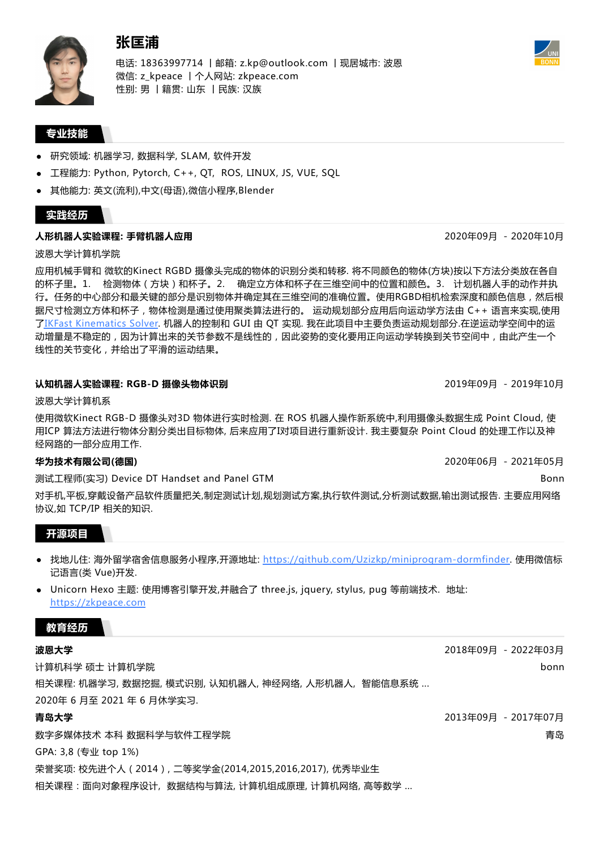

电话: 18363997714 丨邮箱: z.kp@outlook.com 丨现居城市: 波恩 微信: z\_kpeace 丨个人网站: zkpeace.com 性别: 男 丨籍贯: 山东 丨民族: 汉族

## **专业技能**

- 研究领域: 机器学习, 数据科学, SLAM, 软件开发
- 工程能力: Python, Pytorch, C++, QT, ROS, LINUX, JS, VUE, SQL
- 其他能力: 英文(流利),中文(母语),微信小程序,Blender

## **实践经历**

### **人形机器人实验课程: 手臂机器人应用**

波恩大学计算机学院

应用机械手臂和 微软的Kinect RGBD 摄像头完成的物体的识别分类和转移. 将不同颜色的物体(方块)按以下方法分类放在各自 的杯子里。1. 检测物体(方块)和杯子。2. 确定立方体和杯子在三维空间中的位置和颜色。3. 计划机器人手的动作并执 行。任务的中心部分和最关键的部分是识别物体并确定其在三维空间的准确位置。使用RGBD相机检索深度和颜色信息,然后根 据尺寸检测立方体和杯子,物体检测是通过使用聚类算法进行的。 运动规划部分应用后向运动学方法由 C++ 语言来实现,使用 了IKFast [Kinematics](https://ros-planning.github.io/moveit_tutorials/doc/ikfast/ikfast_tutorial.html) Solver. 机器人的控制和 GUI 由 QT 实现. 我在此项目中主要负责运动规划部分.在逆运动学空间中的运 动增量是不稳定的,因为计算出来的关节参数不是线性的,因此姿势的变化要用正向运动学转换到关节空间中,由此产生一个 线性的关节变化,并给出了平滑的运动结果。

## **认知机器人实验课程: RGB-D 摄像头物体识别**

波恩大学计算机系

使用微软Kinect RGB-D 摄像头对3D 物体进行实时检测. 在 ROS 机器人操作新系统中,利用摄像头数据生成 Point Cloud, 使 用ICP 算法方法进行物体分割分类出目标物体, 后来应用了I对项目进行重新设计. 我主要复杂 Point Cloud 的处理工作以及神 经网路的一部分应用工作.

# **华为技术有限公司(德国)**

测试工程师(实习) Device DT Handset and Panel GTM

对手机,平板,穿戴设备产品软件质量把关,制定测试计划,规划测试方案,执行软件测试,分析测试数据,输出测试报告. 主要应用网络 协议,如 TCP/IP 相关的知识.

### **开源项目**

- 找地儿住: 海外留学宿舍信息服务小程序,开源地址: <https://github.com/Uzizkp/miniprogram-dormfinder>. 使用微信标 记语言(类 Vue)开发.
- Unicorn Hexo 主题: 使用博客引擎开发,并融合了 three.js, jquery, stylus, pug 等前端技术. 地址: [https://zkpeace.com](https://zkpeace.com/)

## **教育经历**

### **波恩大学**

计算机科学 硕士 计算机学院 相关课程: 机器学习, 数据挖掘, 模式识别, 认知机器人, 神经网络, 人形机器人, 智能信息系统 ... 2020年 6 月至 2021 年 6 月休学实习.

### **青岛大学**

数字多媒体技术 本科 数据科学与软件工程学院

GPA: 3,8 (专业 top 1%)

荣誉奖项: 校先进个人(2014), 二等奖学金(2014,2015,2016,2017), 优秀毕业生

相关课程:面向对象程序设计, 数据结构与算法, 计算机组成原理, 计算机网络, 高等数学 ...

2020年09月 - 2020年10月

2019年09月 - 2019年10月

2020年06月 - 2021年05月

Bonn





2018年09月 - 2022年03月

2013年09月 - 2017年07月

bonn

青岛